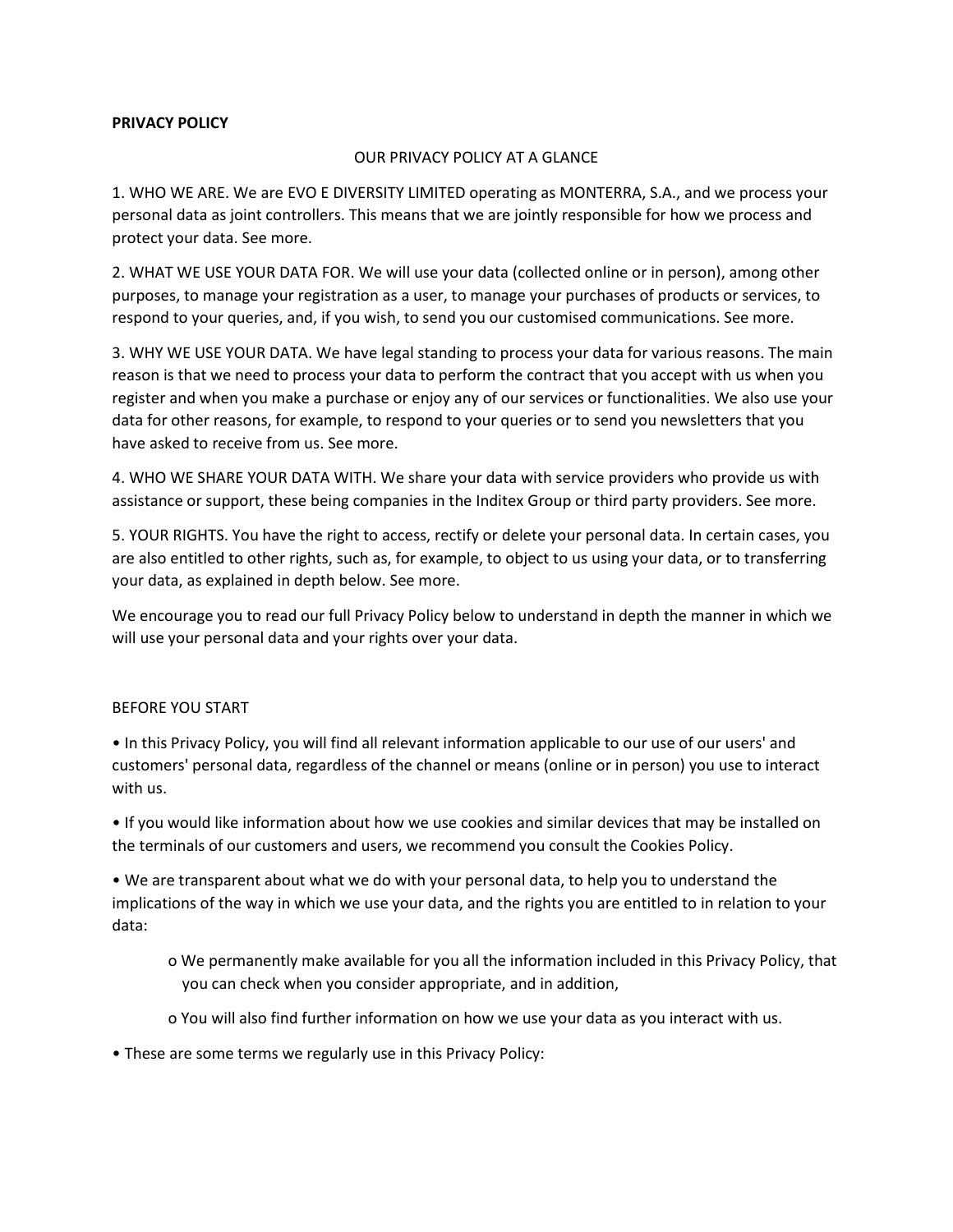### **PRIVACY POLICY**

### OUR PRIVACY POLICY AT A GLANCE

1. WHO WE ARE. We are EVO E DIVERSITY LIMITED operating as MONTERRA, S.A., and we process your personal data as joint controllers. This means that we are jointly responsible for how we process and protect your data. See more.

2. WHAT WE USE YOUR DATA FOR. We will use your data (collected online or in person), among other purposes, to manage your registration as a user, to manage your purchases of products or services, to respond to your queries, and, if you wish, to send you our customised communications. See more.

3. WHY WE USE YOUR DATA. We have legal standing to process your data for various reasons. The main reason is that we need to process your data to perform the contract that you accept with us when you register and when you make a purchase or enjoy any of our services or functionalities. We also use your data for other reasons, for example, to respond to your queries or to send you newsletters that you have asked to receive from us. See more.

4. WHO WE SHARE YOUR DATA WITH. We share your data with service providers who provide us with assistance or support, these being companies in the Inditex Group or third party providers. See more.

5. YOUR RIGHTS. You have the right to access, rectify or delete your personal data. In certain cases, you are also entitled to other rights, such as, for example, to object to us using your data, or to transferring your data, as explained in depth below. See more.

We encourage you to read our full Privacy Policy below to understand in depth the manner in which we will use your personal data and your rights over your data.

### BEFORE YOU START

• In this Privacy Policy, you will find all relevant information applicable to our use of our users' and customers' personal data, regardless of the channel or means (online or in person) you use to interact with us.

• If you would like information about how we use cookies and similar devices that may be installed on the terminals of our customers and users, we recommend you consult the Cookies Policy.

• We are transparent about what we do with your personal data, to help you to understand the implications of the way in which we use your data, and the rights you are entitled to in relation to your data:

- o We permanently make available for you all the information included in this Privacy Policy, that you can check when you consider appropriate, and in addition,
- o You will also find further information on how we use your data as you interact with us.
- These are some terms we regularly use in this Privacy Policy: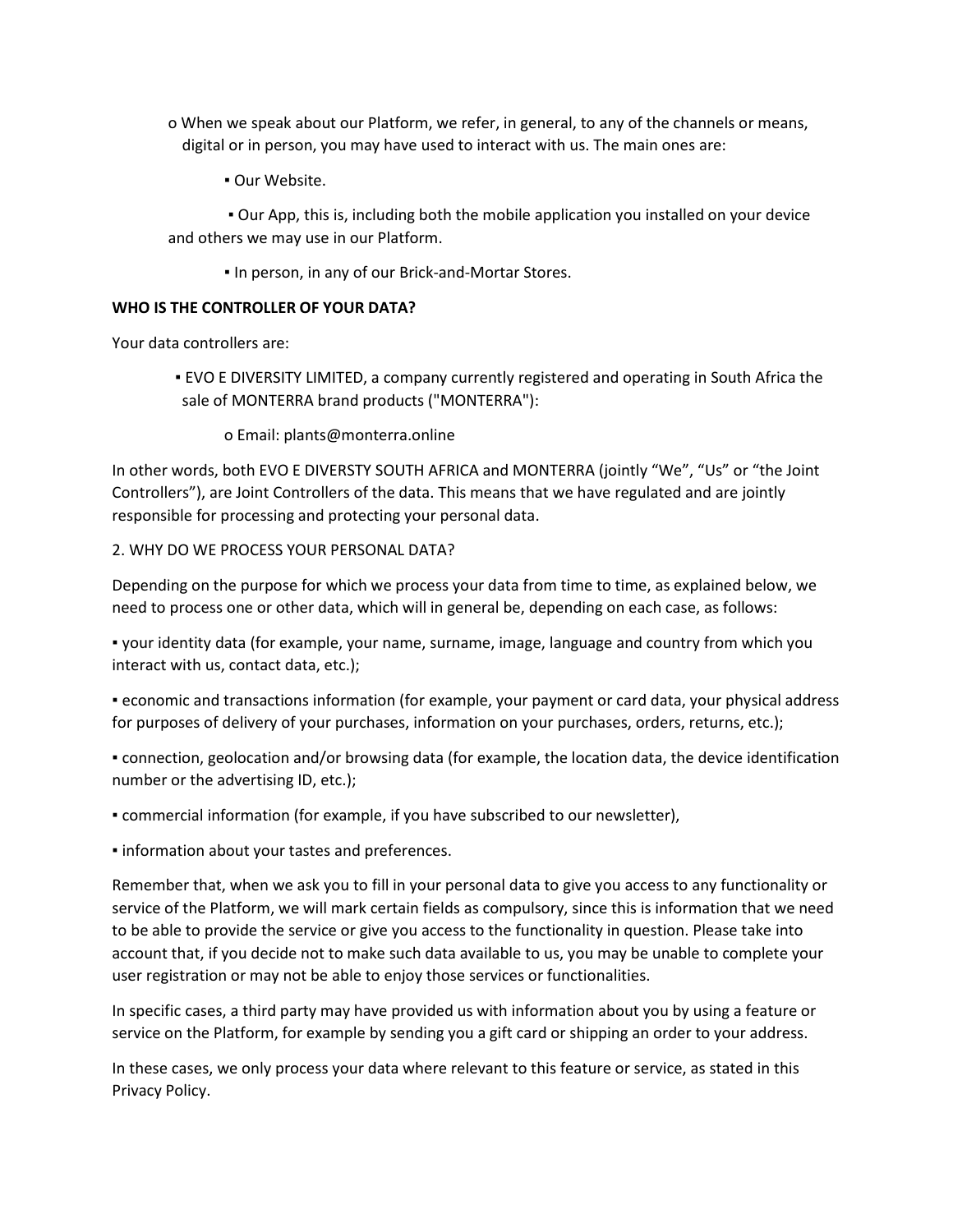- o When we speak about our Platform, we refer, in general, to any of the channels or means, digital or in person, you may have used to interact with us. The main ones are:
	- Our Website.

▪ Our App, this is, including both the mobile application you installed on your device and others we may use in our Platform.

**.** In person, in any of our Brick-and-Mortar Stores.

## **WHO IS THE CONTROLLER OF YOUR DATA?**

Your data controllers are:

- EVO E DIVERSITY LIMITED, a company currently registered and operating in South Africa the sale of MONTERRA brand products ("MONTERRA"):
	- o Email: plants@monterra.online

In other words, both EVO E DIVERSTY SOUTH AFRICA and MONTERRA (jointly "We", "Us" or "the Joint Controllers"), are Joint Controllers of the data. This means that we have regulated and are jointly responsible for processing and protecting your personal data.

## 2. WHY DO WE PROCESS YOUR PERSONAL DATA?

Depending on the purpose for which we process your data from time to time, as explained below, we need to process one or other data, which will in general be, depending on each case, as follows:

▪ your identity data (for example, your name, surname, image, language and country from which you interact with us, contact data, etc.);

▪ economic and transactions information (for example, your payment or card data, your physical address for purposes of delivery of your purchases, information on your purchases, orders, returns, etc.);

▪ connection, geolocation and/or browsing data (for example, the location data, the device identification number or the advertising ID, etc.);

▪ commercial information (for example, if you have subscribed to our newsletter),

**.** information about your tastes and preferences.

Remember that, when we ask you to fill in your personal data to give you access to any functionality or service of the Platform, we will mark certain fields as compulsory, since this is information that we need to be able to provide the service or give you access to the functionality in question. Please take into account that, if you decide not to make such data available to us, you may be unable to complete your user registration or may not be able to enjoy those services or functionalities.

In specific cases, a third party may have provided us with information about you by using a feature or service on the Platform, for example by sending you a gift card or shipping an order to your address.

In these cases, we only process your data where relevant to this feature or service, as stated in this Privacy Policy.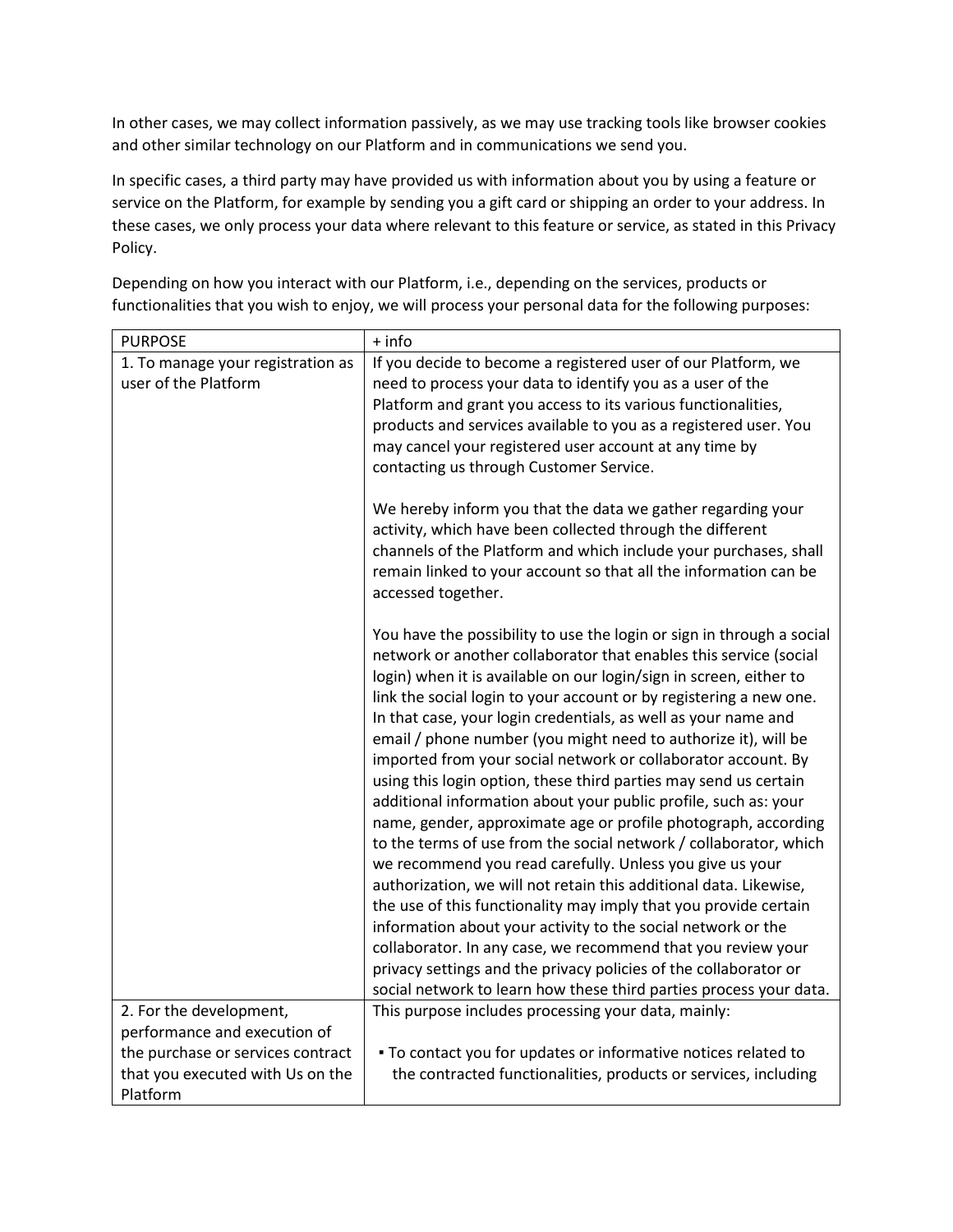In other cases, we may collect information passively, as we may use tracking tools like browser cookies and other similar technology on our Platform and in communications we send you.

In specific cases, a third party may have provided us with information about you by using a feature or service on the Platform, for example by sending you a gift card or shipping an order to your address. In these cases, we only process your data where relevant to this feature or service, as stated in this Privacy Policy.

| <b>PURPOSE</b>                    | + info                                                                                                                                                                                                                                                                                 |
|-----------------------------------|----------------------------------------------------------------------------------------------------------------------------------------------------------------------------------------------------------------------------------------------------------------------------------------|
| 1. To manage your registration as | If you decide to become a registered user of our Platform, we                                                                                                                                                                                                                          |
| user of the Platform              | need to process your data to identify you as a user of the                                                                                                                                                                                                                             |
|                                   | Platform and grant you access to its various functionalities,                                                                                                                                                                                                                          |
|                                   | products and services available to you as a registered user. You                                                                                                                                                                                                                       |
|                                   | may cancel your registered user account at any time by                                                                                                                                                                                                                                 |
|                                   | contacting us through Customer Service.                                                                                                                                                                                                                                                |
|                                   | We hereby inform you that the data we gather regarding your<br>activity, which have been collected through the different<br>channels of the Platform and which include your purchases, shall<br>remain linked to your account so that all the information can be<br>accessed together. |
|                                   | You have the possibility to use the login or sign in through a social<br>network or another collaborator that enables this service (social                                                                                                                                             |
|                                   | login) when it is available on our login/sign in screen, either to                                                                                                                                                                                                                     |
|                                   | link the social login to your account or by registering a new one.                                                                                                                                                                                                                     |
|                                   | In that case, your login credentials, as well as your name and<br>email / phone number (you might need to authorize it), will be                                                                                                                                                       |
|                                   | imported from your social network or collaborator account. By                                                                                                                                                                                                                          |
|                                   | using this login option, these third parties may send us certain                                                                                                                                                                                                                       |
|                                   | additional information about your public profile, such as: your                                                                                                                                                                                                                        |
|                                   | name, gender, approximate age or profile photograph, according                                                                                                                                                                                                                         |
|                                   | to the terms of use from the social network / collaborator, which                                                                                                                                                                                                                      |
|                                   | we recommend you read carefully. Unless you give us your                                                                                                                                                                                                                               |
|                                   | authorization, we will not retain this additional data. Likewise,                                                                                                                                                                                                                      |
|                                   | the use of this functionality may imply that you provide certain                                                                                                                                                                                                                       |
|                                   | information about your activity to the social network or the                                                                                                                                                                                                                           |
|                                   | collaborator. In any case, we recommend that you review your                                                                                                                                                                                                                           |
|                                   | privacy settings and the privacy policies of the collaborator or                                                                                                                                                                                                                       |
|                                   | social network to learn how these third parties process your data.                                                                                                                                                                                                                     |
| 2. For the development,           | This purpose includes processing your data, mainly:                                                                                                                                                                                                                                    |
| performance and execution of      |                                                                                                                                                                                                                                                                                        |
| the purchase or services contract | . To contact you for updates or informative notices related to                                                                                                                                                                                                                         |
| that you executed with Us on the  | the contracted functionalities, products or services, including                                                                                                                                                                                                                        |
| Platform                          |                                                                                                                                                                                                                                                                                        |

Depending on how you interact with our Platform, i.e., depending on the services, products or functionalities that you wish to enjoy, we will process your personal data for the following purposes: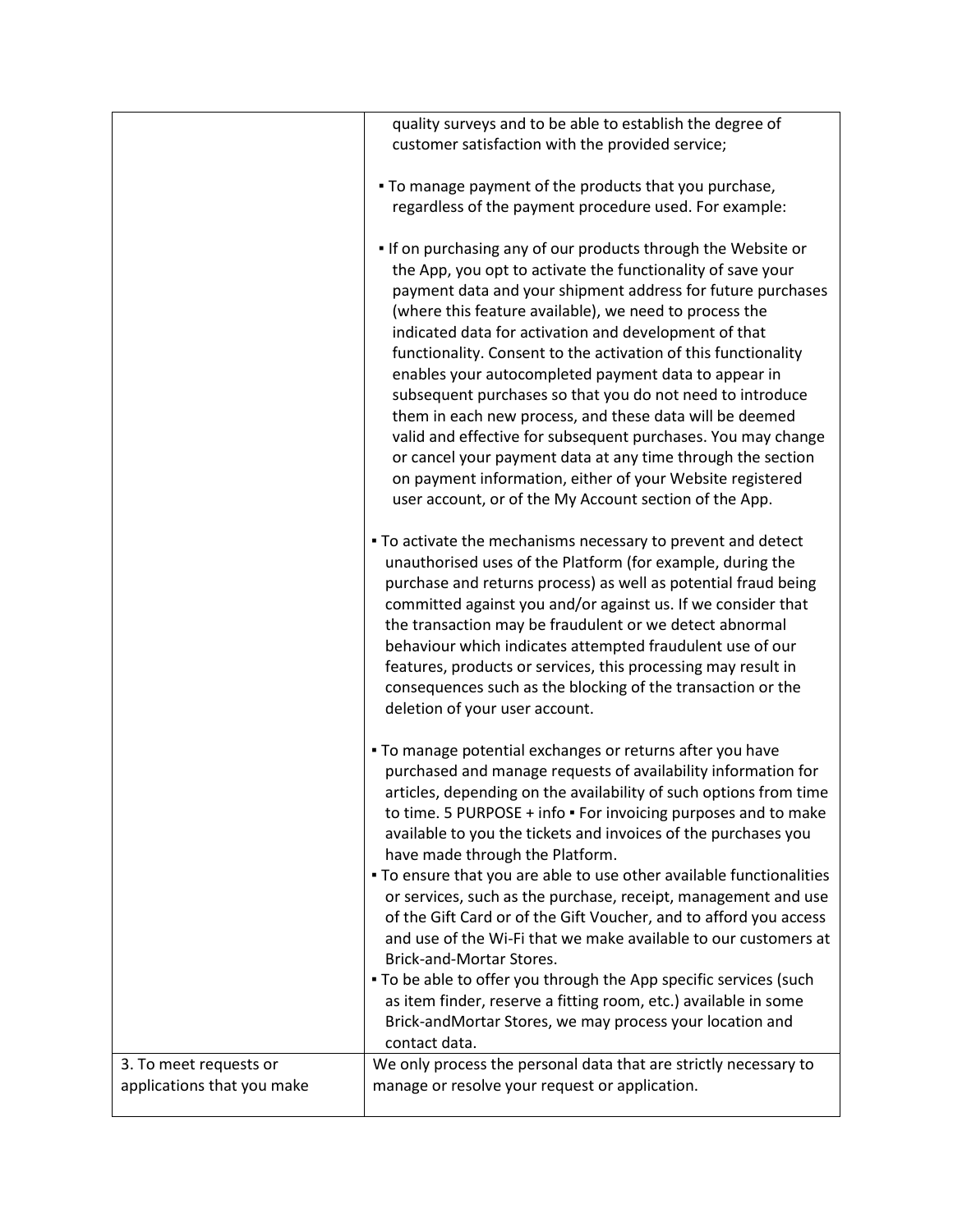|                            | quality surveys and to be able to establish the degree of            |
|----------------------------|----------------------------------------------------------------------|
|                            |                                                                      |
|                            | customer satisfaction with the provided service;                     |
|                            |                                                                      |
|                            | . To manage payment of the products that you purchase,               |
|                            | regardless of the payment procedure used. For example:               |
|                            |                                                                      |
|                            | . If on purchasing any of our products through the Website or        |
|                            | the App, you opt to activate the functionality of save your          |
|                            | payment data and your shipment address for future purchases          |
|                            | (where this feature available), we need to process the               |
|                            | indicated data for activation and development of that                |
|                            | functionality. Consent to the activation of this functionality       |
|                            | enables your autocompleted payment data to appear in                 |
|                            | subsequent purchases so that you do not need to introduce            |
|                            |                                                                      |
|                            | them in each new process, and these data will be deemed              |
|                            | valid and effective for subsequent purchases. You may change         |
|                            | or cancel your payment data at any time through the section          |
|                            | on payment information, either of your Website registered            |
|                            | user account, or of the My Account section of the App.               |
|                            |                                                                      |
|                            | . To activate the mechanisms necessary to prevent and detect         |
|                            | unauthorised uses of the Platform (for example, during the           |
|                            | purchase and returns process) as well as potential fraud being       |
|                            | committed against you and/or against us. If we consider that         |
|                            | the transaction may be fraudulent or we detect abnormal              |
|                            | behaviour which indicates attempted fraudulent use of our            |
|                            | features, products or services, this processing may result in        |
|                            | consequences such as the blocking of the transaction or the          |
|                            | deletion of your user account.                                       |
|                            |                                                                      |
|                            | . To manage potential exchanges or returns after you have            |
|                            | purchased and manage requests of availability information for        |
|                            | articles, depending on the availability of such options from time    |
|                            | to time. 5 PURPOSE + info · For invoicing purposes and to make       |
|                            |                                                                      |
|                            | available to you the tickets and invoices of the purchases you       |
|                            | have made through the Platform.                                      |
|                            | . To ensure that you are able to use other available functionalities |
|                            | or services, such as the purchase, receipt, management and use       |
|                            | of the Gift Card or of the Gift Voucher, and to afford you access    |
|                            | and use of the Wi-Fi that we make available to our customers at      |
|                            | Brick-and-Mortar Stores.                                             |
|                            | . To be able to offer you through the App specific services (such    |
|                            | as item finder, reserve a fitting room, etc.) available in some      |
|                            | Brick-andMortar Stores, we may process your location and             |
|                            | contact data.                                                        |
| 3. To meet requests or     | We only process the personal data that are strictly necessary to     |
| applications that you make | manage or resolve your request or application.                       |
|                            |                                                                      |
|                            |                                                                      |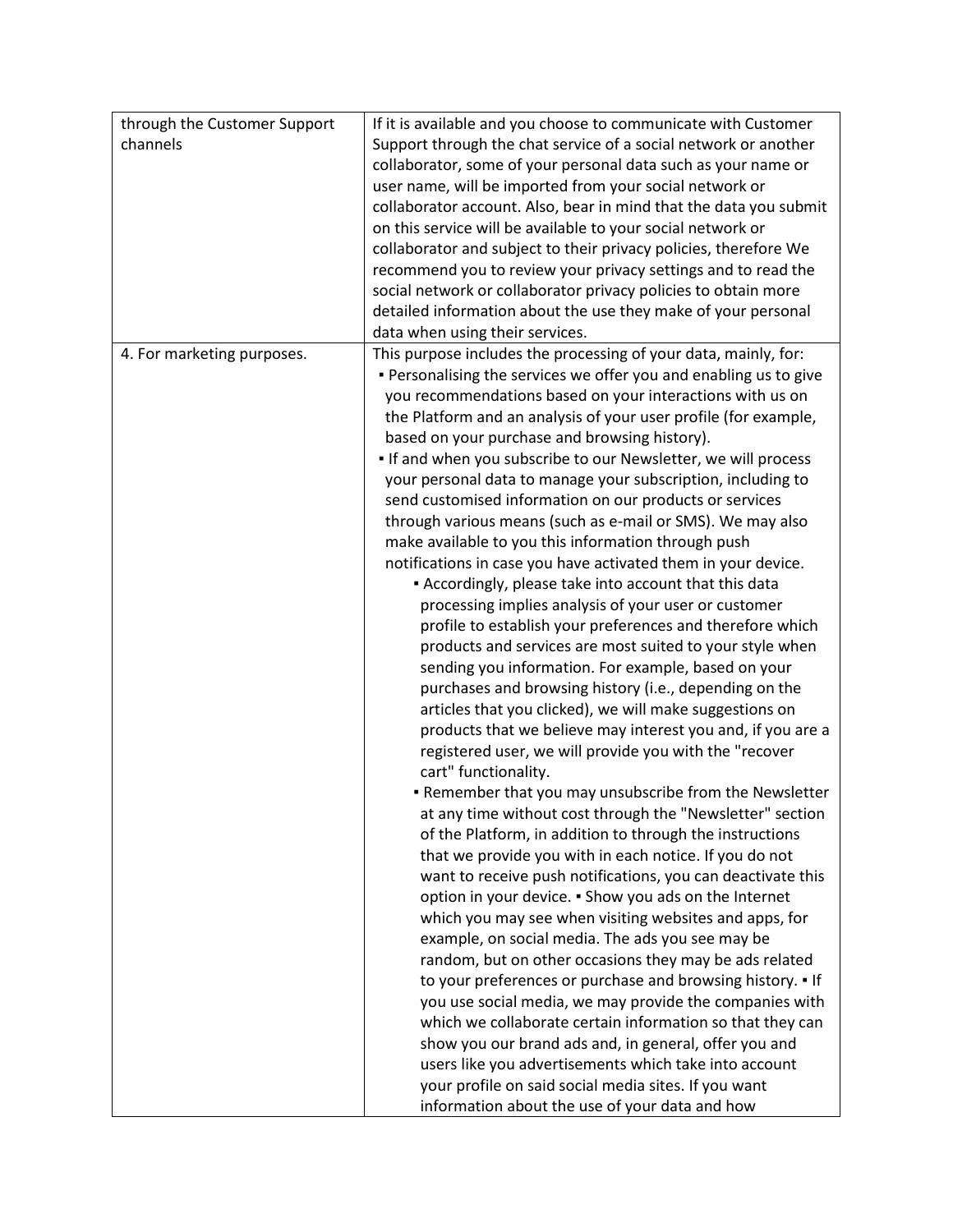| channels<br>Support through the chat service of a social network or another<br>collaborator, some of your personal data such as your name or<br>user name, will be imported from your social network or<br>collaborator account. Also, bear in mind that the data you submit<br>on this service will be available to your social network or<br>collaborator and subject to their privacy policies, therefore We<br>recommend you to review your privacy settings and to read the<br>social network or collaborator privacy policies to obtain more<br>detailed information about the use they make of your personal<br>data when using their services.<br>This purpose includes the processing of your data, mainly, for:<br>4. For marketing purposes.<br>. Personalising the services we offer you and enabling us to give<br>you recommendations based on your interactions with us on<br>the Platform and an analysis of your user profile (for example,<br>based on your purchase and browsing history).<br>. If and when you subscribe to our Newsletter, we will process<br>your personal data to manage your subscription, including to<br>send customised information on our products or services<br>through various means (such as e-mail or SMS). We may also<br>make available to you this information through push<br>notifications in case you have activated them in your device.<br>- Accordingly, please take into account that this data<br>processing implies analysis of your user or customer<br>profile to establish your preferences and therefore which<br>products and services are most suited to your style when<br>sending you information. For example, based on your<br>purchases and browsing history (i.e., depending on the<br>articles that you clicked), we will make suggestions on<br>products that we believe may interest you and, if you are a<br>registered user, we will provide you with the "recover<br>cart" functionality.<br>. Remember that you may unsubscribe from the Newsletter<br>at any time without cost through the "Newsletter" section<br>of the Platform, in addition to through the instructions<br>that we provide you with in each notice. If you do not<br>want to receive push notifications, you can deactivate this<br>option in your device. . Show you ads on the Internet<br>which you may see when visiting websites and apps, for<br>example, on social media. The ads you see may be<br>random, but on other occasions they may be ads related<br>to your preferences or purchase and browsing history. • If<br>you use social media, we may provide the companies with<br>which we collaborate certain information so that they can<br>show you our brand ads and, in general, offer you and<br>users like you advertisements which take into account<br>your profile on said social media sites. If you want | through the Customer Support | If it is available and you choose to communicate with Customer |
|----------------------------------------------------------------------------------------------------------------------------------------------------------------------------------------------------------------------------------------------------------------------------------------------------------------------------------------------------------------------------------------------------------------------------------------------------------------------------------------------------------------------------------------------------------------------------------------------------------------------------------------------------------------------------------------------------------------------------------------------------------------------------------------------------------------------------------------------------------------------------------------------------------------------------------------------------------------------------------------------------------------------------------------------------------------------------------------------------------------------------------------------------------------------------------------------------------------------------------------------------------------------------------------------------------------------------------------------------------------------------------------------------------------------------------------------------------------------------------------------------------------------------------------------------------------------------------------------------------------------------------------------------------------------------------------------------------------------------------------------------------------------------------------------------------------------------------------------------------------------------------------------------------------------------------------------------------------------------------------------------------------------------------------------------------------------------------------------------------------------------------------------------------------------------------------------------------------------------------------------------------------------------------------------------------------------------------------------------------------------------------------------------------------------------------------------------------------------------------------------------------------------------------------------------------------------------------------------------------------------------------------------------------------------------------------------------------------------------------------------------------------------------------------------------------------------------------------------------------------------------------------|------------------------------|----------------------------------------------------------------|
|                                                                                                                                                                                                                                                                                                                                                                                                                                                                                                                                                                                                                                                                                                                                                                                                                                                                                                                                                                                                                                                                                                                                                                                                                                                                                                                                                                                                                                                                                                                                                                                                                                                                                                                                                                                                                                                                                                                                                                                                                                                                                                                                                                                                                                                                                                                                                                                                                                                                                                                                                                                                                                                                                                                                                                                                                                                                                        |                              |                                                                |
|                                                                                                                                                                                                                                                                                                                                                                                                                                                                                                                                                                                                                                                                                                                                                                                                                                                                                                                                                                                                                                                                                                                                                                                                                                                                                                                                                                                                                                                                                                                                                                                                                                                                                                                                                                                                                                                                                                                                                                                                                                                                                                                                                                                                                                                                                                                                                                                                                                                                                                                                                                                                                                                                                                                                                                                                                                                                                        |                              |                                                                |
|                                                                                                                                                                                                                                                                                                                                                                                                                                                                                                                                                                                                                                                                                                                                                                                                                                                                                                                                                                                                                                                                                                                                                                                                                                                                                                                                                                                                                                                                                                                                                                                                                                                                                                                                                                                                                                                                                                                                                                                                                                                                                                                                                                                                                                                                                                                                                                                                                                                                                                                                                                                                                                                                                                                                                                                                                                                                                        |                              |                                                                |
|                                                                                                                                                                                                                                                                                                                                                                                                                                                                                                                                                                                                                                                                                                                                                                                                                                                                                                                                                                                                                                                                                                                                                                                                                                                                                                                                                                                                                                                                                                                                                                                                                                                                                                                                                                                                                                                                                                                                                                                                                                                                                                                                                                                                                                                                                                                                                                                                                                                                                                                                                                                                                                                                                                                                                                                                                                                                                        |                              |                                                                |
|                                                                                                                                                                                                                                                                                                                                                                                                                                                                                                                                                                                                                                                                                                                                                                                                                                                                                                                                                                                                                                                                                                                                                                                                                                                                                                                                                                                                                                                                                                                                                                                                                                                                                                                                                                                                                                                                                                                                                                                                                                                                                                                                                                                                                                                                                                                                                                                                                                                                                                                                                                                                                                                                                                                                                                                                                                                                                        |                              |                                                                |
|                                                                                                                                                                                                                                                                                                                                                                                                                                                                                                                                                                                                                                                                                                                                                                                                                                                                                                                                                                                                                                                                                                                                                                                                                                                                                                                                                                                                                                                                                                                                                                                                                                                                                                                                                                                                                                                                                                                                                                                                                                                                                                                                                                                                                                                                                                                                                                                                                                                                                                                                                                                                                                                                                                                                                                                                                                                                                        |                              |                                                                |
|                                                                                                                                                                                                                                                                                                                                                                                                                                                                                                                                                                                                                                                                                                                                                                                                                                                                                                                                                                                                                                                                                                                                                                                                                                                                                                                                                                                                                                                                                                                                                                                                                                                                                                                                                                                                                                                                                                                                                                                                                                                                                                                                                                                                                                                                                                                                                                                                                                                                                                                                                                                                                                                                                                                                                                                                                                                                                        |                              |                                                                |
|                                                                                                                                                                                                                                                                                                                                                                                                                                                                                                                                                                                                                                                                                                                                                                                                                                                                                                                                                                                                                                                                                                                                                                                                                                                                                                                                                                                                                                                                                                                                                                                                                                                                                                                                                                                                                                                                                                                                                                                                                                                                                                                                                                                                                                                                                                                                                                                                                                                                                                                                                                                                                                                                                                                                                                                                                                                                                        |                              |                                                                |
|                                                                                                                                                                                                                                                                                                                                                                                                                                                                                                                                                                                                                                                                                                                                                                                                                                                                                                                                                                                                                                                                                                                                                                                                                                                                                                                                                                                                                                                                                                                                                                                                                                                                                                                                                                                                                                                                                                                                                                                                                                                                                                                                                                                                                                                                                                                                                                                                                                                                                                                                                                                                                                                                                                                                                                                                                                                                                        |                              |                                                                |
|                                                                                                                                                                                                                                                                                                                                                                                                                                                                                                                                                                                                                                                                                                                                                                                                                                                                                                                                                                                                                                                                                                                                                                                                                                                                                                                                                                                                                                                                                                                                                                                                                                                                                                                                                                                                                                                                                                                                                                                                                                                                                                                                                                                                                                                                                                                                                                                                                                                                                                                                                                                                                                                                                                                                                                                                                                                                                        |                              |                                                                |
|                                                                                                                                                                                                                                                                                                                                                                                                                                                                                                                                                                                                                                                                                                                                                                                                                                                                                                                                                                                                                                                                                                                                                                                                                                                                                                                                                                                                                                                                                                                                                                                                                                                                                                                                                                                                                                                                                                                                                                                                                                                                                                                                                                                                                                                                                                                                                                                                                                                                                                                                                                                                                                                                                                                                                                                                                                                                                        |                              |                                                                |
|                                                                                                                                                                                                                                                                                                                                                                                                                                                                                                                                                                                                                                                                                                                                                                                                                                                                                                                                                                                                                                                                                                                                                                                                                                                                                                                                                                                                                                                                                                                                                                                                                                                                                                                                                                                                                                                                                                                                                                                                                                                                                                                                                                                                                                                                                                                                                                                                                                                                                                                                                                                                                                                                                                                                                                                                                                                                                        |                              |                                                                |
|                                                                                                                                                                                                                                                                                                                                                                                                                                                                                                                                                                                                                                                                                                                                                                                                                                                                                                                                                                                                                                                                                                                                                                                                                                                                                                                                                                                                                                                                                                                                                                                                                                                                                                                                                                                                                                                                                                                                                                                                                                                                                                                                                                                                                                                                                                                                                                                                                                                                                                                                                                                                                                                                                                                                                                                                                                                                                        |                              |                                                                |
|                                                                                                                                                                                                                                                                                                                                                                                                                                                                                                                                                                                                                                                                                                                                                                                                                                                                                                                                                                                                                                                                                                                                                                                                                                                                                                                                                                                                                                                                                                                                                                                                                                                                                                                                                                                                                                                                                                                                                                                                                                                                                                                                                                                                                                                                                                                                                                                                                                                                                                                                                                                                                                                                                                                                                                                                                                                                                        |                              |                                                                |
|                                                                                                                                                                                                                                                                                                                                                                                                                                                                                                                                                                                                                                                                                                                                                                                                                                                                                                                                                                                                                                                                                                                                                                                                                                                                                                                                                                                                                                                                                                                                                                                                                                                                                                                                                                                                                                                                                                                                                                                                                                                                                                                                                                                                                                                                                                                                                                                                                                                                                                                                                                                                                                                                                                                                                                                                                                                                                        |                              |                                                                |
|                                                                                                                                                                                                                                                                                                                                                                                                                                                                                                                                                                                                                                                                                                                                                                                                                                                                                                                                                                                                                                                                                                                                                                                                                                                                                                                                                                                                                                                                                                                                                                                                                                                                                                                                                                                                                                                                                                                                                                                                                                                                                                                                                                                                                                                                                                                                                                                                                                                                                                                                                                                                                                                                                                                                                                                                                                                                                        |                              |                                                                |
|                                                                                                                                                                                                                                                                                                                                                                                                                                                                                                                                                                                                                                                                                                                                                                                                                                                                                                                                                                                                                                                                                                                                                                                                                                                                                                                                                                                                                                                                                                                                                                                                                                                                                                                                                                                                                                                                                                                                                                                                                                                                                                                                                                                                                                                                                                                                                                                                                                                                                                                                                                                                                                                                                                                                                                                                                                                                                        |                              |                                                                |
|                                                                                                                                                                                                                                                                                                                                                                                                                                                                                                                                                                                                                                                                                                                                                                                                                                                                                                                                                                                                                                                                                                                                                                                                                                                                                                                                                                                                                                                                                                                                                                                                                                                                                                                                                                                                                                                                                                                                                                                                                                                                                                                                                                                                                                                                                                                                                                                                                                                                                                                                                                                                                                                                                                                                                                                                                                                                                        |                              |                                                                |
|                                                                                                                                                                                                                                                                                                                                                                                                                                                                                                                                                                                                                                                                                                                                                                                                                                                                                                                                                                                                                                                                                                                                                                                                                                                                                                                                                                                                                                                                                                                                                                                                                                                                                                                                                                                                                                                                                                                                                                                                                                                                                                                                                                                                                                                                                                                                                                                                                                                                                                                                                                                                                                                                                                                                                                                                                                                                                        |                              |                                                                |
|                                                                                                                                                                                                                                                                                                                                                                                                                                                                                                                                                                                                                                                                                                                                                                                                                                                                                                                                                                                                                                                                                                                                                                                                                                                                                                                                                                                                                                                                                                                                                                                                                                                                                                                                                                                                                                                                                                                                                                                                                                                                                                                                                                                                                                                                                                                                                                                                                                                                                                                                                                                                                                                                                                                                                                                                                                                                                        |                              |                                                                |
|                                                                                                                                                                                                                                                                                                                                                                                                                                                                                                                                                                                                                                                                                                                                                                                                                                                                                                                                                                                                                                                                                                                                                                                                                                                                                                                                                                                                                                                                                                                                                                                                                                                                                                                                                                                                                                                                                                                                                                                                                                                                                                                                                                                                                                                                                                                                                                                                                                                                                                                                                                                                                                                                                                                                                                                                                                                                                        |                              |                                                                |
|                                                                                                                                                                                                                                                                                                                                                                                                                                                                                                                                                                                                                                                                                                                                                                                                                                                                                                                                                                                                                                                                                                                                                                                                                                                                                                                                                                                                                                                                                                                                                                                                                                                                                                                                                                                                                                                                                                                                                                                                                                                                                                                                                                                                                                                                                                                                                                                                                                                                                                                                                                                                                                                                                                                                                                                                                                                                                        |                              |                                                                |
|                                                                                                                                                                                                                                                                                                                                                                                                                                                                                                                                                                                                                                                                                                                                                                                                                                                                                                                                                                                                                                                                                                                                                                                                                                                                                                                                                                                                                                                                                                                                                                                                                                                                                                                                                                                                                                                                                                                                                                                                                                                                                                                                                                                                                                                                                                                                                                                                                                                                                                                                                                                                                                                                                                                                                                                                                                                                                        |                              |                                                                |
|                                                                                                                                                                                                                                                                                                                                                                                                                                                                                                                                                                                                                                                                                                                                                                                                                                                                                                                                                                                                                                                                                                                                                                                                                                                                                                                                                                                                                                                                                                                                                                                                                                                                                                                                                                                                                                                                                                                                                                                                                                                                                                                                                                                                                                                                                                                                                                                                                                                                                                                                                                                                                                                                                                                                                                                                                                                                                        |                              |                                                                |
|                                                                                                                                                                                                                                                                                                                                                                                                                                                                                                                                                                                                                                                                                                                                                                                                                                                                                                                                                                                                                                                                                                                                                                                                                                                                                                                                                                                                                                                                                                                                                                                                                                                                                                                                                                                                                                                                                                                                                                                                                                                                                                                                                                                                                                                                                                                                                                                                                                                                                                                                                                                                                                                                                                                                                                                                                                                                                        |                              |                                                                |
|                                                                                                                                                                                                                                                                                                                                                                                                                                                                                                                                                                                                                                                                                                                                                                                                                                                                                                                                                                                                                                                                                                                                                                                                                                                                                                                                                                                                                                                                                                                                                                                                                                                                                                                                                                                                                                                                                                                                                                                                                                                                                                                                                                                                                                                                                                                                                                                                                                                                                                                                                                                                                                                                                                                                                                                                                                                                                        |                              |                                                                |
|                                                                                                                                                                                                                                                                                                                                                                                                                                                                                                                                                                                                                                                                                                                                                                                                                                                                                                                                                                                                                                                                                                                                                                                                                                                                                                                                                                                                                                                                                                                                                                                                                                                                                                                                                                                                                                                                                                                                                                                                                                                                                                                                                                                                                                                                                                                                                                                                                                                                                                                                                                                                                                                                                                                                                                                                                                                                                        |                              |                                                                |
|                                                                                                                                                                                                                                                                                                                                                                                                                                                                                                                                                                                                                                                                                                                                                                                                                                                                                                                                                                                                                                                                                                                                                                                                                                                                                                                                                                                                                                                                                                                                                                                                                                                                                                                                                                                                                                                                                                                                                                                                                                                                                                                                                                                                                                                                                                                                                                                                                                                                                                                                                                                                                                                                                                                                                                                                                                                                                        |                              |                                                                |
|                                                                                                                                                                                                                                                                                                                                                                                                                                                                                                                                                                                                                                                                                                                                                                                                                                                                                                                                                                                                                                                                                                                                                                                                                                                                                                                                                                                                                                                                                                                                                                                                                                                                                                                                                                                                                                                                                                                                                                                                                                                                                                                                                                                                                                                                                                                                                                                                                                                                                                                                                                                                                                                                                                                                                                                                                                                                                        |                              |                                                                |
|                                                                                                                                                                                                                                                                                                                                                                                                                                                                                                                                                                                                                                                                                                                                                                                                                                                                                                                                                                                                                                                                                                                                                                                                                                                                                                                                                                                                                                                                                                                                                                                                                                                                                                                                                                                                                                                                                                                                                                                                                                                                                                                                                                                                                                                                                                                                                                                                                                                                                                                                                                                                                                                                                                                                                                                                                                                                                        |                              |                                                                |
|                                                                                                                                                                                                                                                                                                                                                                                                                                                                                                                                                                                                                                                                                                                                                                                                                                                                                                                                                                                                                                                                                                                                                                                                                                                                                                                                                                                                                                                                                                                                                                                                                                                                                                                                                                                                                                                                                                                                                                                                                                                                                                                                                                                                                                                                                                                                                                                                                                                                                                                                                                                                                                                                                                                                                                                                                                                                                        |                              |                                                                |
|                                                                                                                                                                                                                                                                                                                                                                                                                                                                                                                                                                                                                                                                                                                                                                                                                                                                                                                                                                                                                                                                                                                                                                                                                                                                                                                                                                                                                                                                                                                                                                                                                                                                                                                                                                                                                                                                                                                                                                                                                                                                                                                                                                                                                                                                                                                                                                                                                                                                                                                                                                                                                                                                                                                                                                                                                                                                                        |                              |                                                                |
|                                                                                                                                                                                                                                                                                                                                                                                                                                                                                                                                                                                                                                                                                                                                                                                                                                                                                                                                                                                                                                                                                                                                                                                                                                                                                                                                                                                                                                                                                                                                                                                                                                                                                                                                                                                                                                                                                                                                                                                                                                                                                                                                                                                                                                                                                                                                                                                                                                                                                                                                                                                                                                                                                                                                                                                                                                                                                        |                              |                                                                |
|                                                                                                                                                                                                                                                                                                                                                                                                                                                                                                                                                                                                                                                                                                                                                                                                                                                                                                                                                                                                                                                                                                                                                                                                                                                                                                                                                                                                                                                                                                                                                                                                                                                                                                                                                                                                                                                                                                                                                                                                                                                                                                                                                                                                                                                                                                                                                                                                                                                                                                                                                                                                                                                                                                                                                                                                                                                                                        |                              |                                                                |
|                                                                                                                                                                                                                                                                                                                                                                                                                                                                                                                                                                                                                                                                                                                                                                                                                                                                                                                                                                                                                                                                                                                                                                                                                                                                                                                                                                                                                                                                                                                                                                                                                                                                                                                                                                                                                                                                                                                                                                                                                                                                                                                                                                                                                                                                                                                                                                                                                                                                                                                                                                                                                                                                                                                                                                                                                                                                                        |                              |                                                                |
|                                                                                                                                                                                                                                                                                                                                                                                                                                                                                                                                                                                                                                                                                                                                                                                                                                                                                                                                                                                                                                                                                                                                                                                                                                                                                                                                                                                                                                                                                                                                                                                                                                                                                                                                                                                                                                                                                                                                                                                                                                                                                                                                                                                                                                                                                                                                                                                                                                                                                                                                                                                                                                                                                                                                                                                                                                                                                        |                              |                                                                |
|                                                                                                                                                                                                                                                                                                                                                                                                                                                                                                                                                                                                                                                                                                                                                                                                                                                                                                                                                                                                                                                                                                                                                                                                                                                                                                                                                                                                                                                                                                                                                                                                                                                                                                                                                                                                                                                                                                                                                                                                                                                                                                                                                                                                                                                                                                                                                                                                                                                                                                                                                                                                                                                                                                                                                                                                                                                                                        |                              |                                                                |
|                                                                                                                                                                                                                                                                                                                                                                                                                                                                                                                                                                                                                                                                                                                                                                                                                                                                                                                                                                                                                                                                                                                                                                                                                                                                                                                                                                                                                                                                                                                                                                                                                                                                                                                                                                                                                                                                                                                                                                                                                                                                                                                                                                                                                                                                                                                                                                                                                                                                                                                                                                                                                                                                                                                                                                                                                                                                                        |                              |                                                                |
|                                                                                                                                                                                                                                                                                                                                                                                                                                                                                                                                                                                                                                                                                                                                                                                                                                                                                                                                                                                                                                                                                                                                                                                                                                                                                                                                                                                                                                                                                                                                                                                                                                                                                                                                                                                                                                                                                                                                                                                                                                                                                                                                                                                                                                                                                                                                                                                                                                                                                                                                                                                                                                                                                                                                                                                                                                                                                        |                              |                                                                |
|                                                                                                                                                                                                                                                                                                                                                                                                                                                                                                                                                                                                                                                                                                                                                                                                                                                                                                                                                                                                                                                                                                                                                                                                                                                                                                                                                                                                                                                                                                                                                                                                                                                                                                                                                                                                                                                                                                                                                                                                                                                                                                                                                                                                                                                                                                                                                                                                                                                                                                                                                                                                                                                                                                                                                                                                                                                                                        |                              |                                                                |
|                                                                                                                                                                                                                                                                                                                                                                                                                                                                                                                                                                                                                                                                                                                                                                                                                                                                                                                                                                                                                                                                                                                                                                                                                                                                                                                                                                                                                                                                                                                                                                                                                                                                                                                                                                                                                                                                                                                                                                                                                                                                                                                                                                                                                                                                                                                                                                                                                                                                                                                                                                                                                                                                                                                                                                                                                                                                                        |                              |                                                                |
|                                                                                                                                                                                                                                                                                                                                                                                                                                                                                                                                                                                                                                                                                                                                                                                                                                                                                                                                                                                                                                                                                                                                                                                                                                                                                                                                                                                                                                                                                                                                                                                                                                                                                                                                                                                                                                                                                                                                                                                                                                                                                                                                                                                                                                                                                                                                                                                                                                                                                                                                                                                                                                                                                                                                                                                                                                                                                        |                              |                                                                |
|                                                                                                                                                                                                                                                                                                                                                                                                                                                                                                                                                                                                                                                                                                                                                                                                                                                                                                                                                                                                                                                                                                                                                                                                                                                                                                                                                                                                                                                                                                                                                                                                                                                                                                                                                                                                                                                                                                                                                                                                                                                                                                                                                                                                                                                                                                                                                                                                                                                                                                                                                                                                                                                                                                                                                                                                                                                                                        |                              |                                                                |
|                                                                                                                                                                                                                                                                                                                                                                                                                                                                                                                                                                                                                                                                                                                                                                                                                                                                                                                                                                                                                                                                                                                                                                                                                                                                                                                                                                                                                                                                                                                                                                                                                                                                                                                                                                                                                                                                                                                                                                                                                                                                                                                                                                                                                                                                                                                                                                                                                                                                                                                                                                                                                                                                                                                                                                                                                                                                                        |                              |                                                                |
|                                                                                                                                                                                                                                                                                                                                                                                                                                                                                                                                                                                                                                                                                                                                                                                                                                                                                                                                                                                                                                                                                                                                                                                                                                                                                                                                                                                                                                                                                                                                                                                                                                                                                                                                                                                                                                                                                                                                                                                                                                                                                                                                                                                                                                                                                                                                                                                                                                                                                                                                                                                                                                                                                                                                                                                                                                                                                        |                              |                                                                |
|                                                                                                                                                                                                                                                                                                                                                                                                                                                                                                                                                                                                                                                                                                                                                                                                                                                                                                                                                                                                                                                                                                                                                                                                                                                                                                                                                                                                                                                                                                                                                                                                                                                                                                                                                                                                                                                                                                                                                                                                                                                                                                                                                                                                                                                                                                                                                                                                                                                                                                                                                                                                                                                                                                                                                                                                                                                                                        |                              | information about the use of your data and how                 |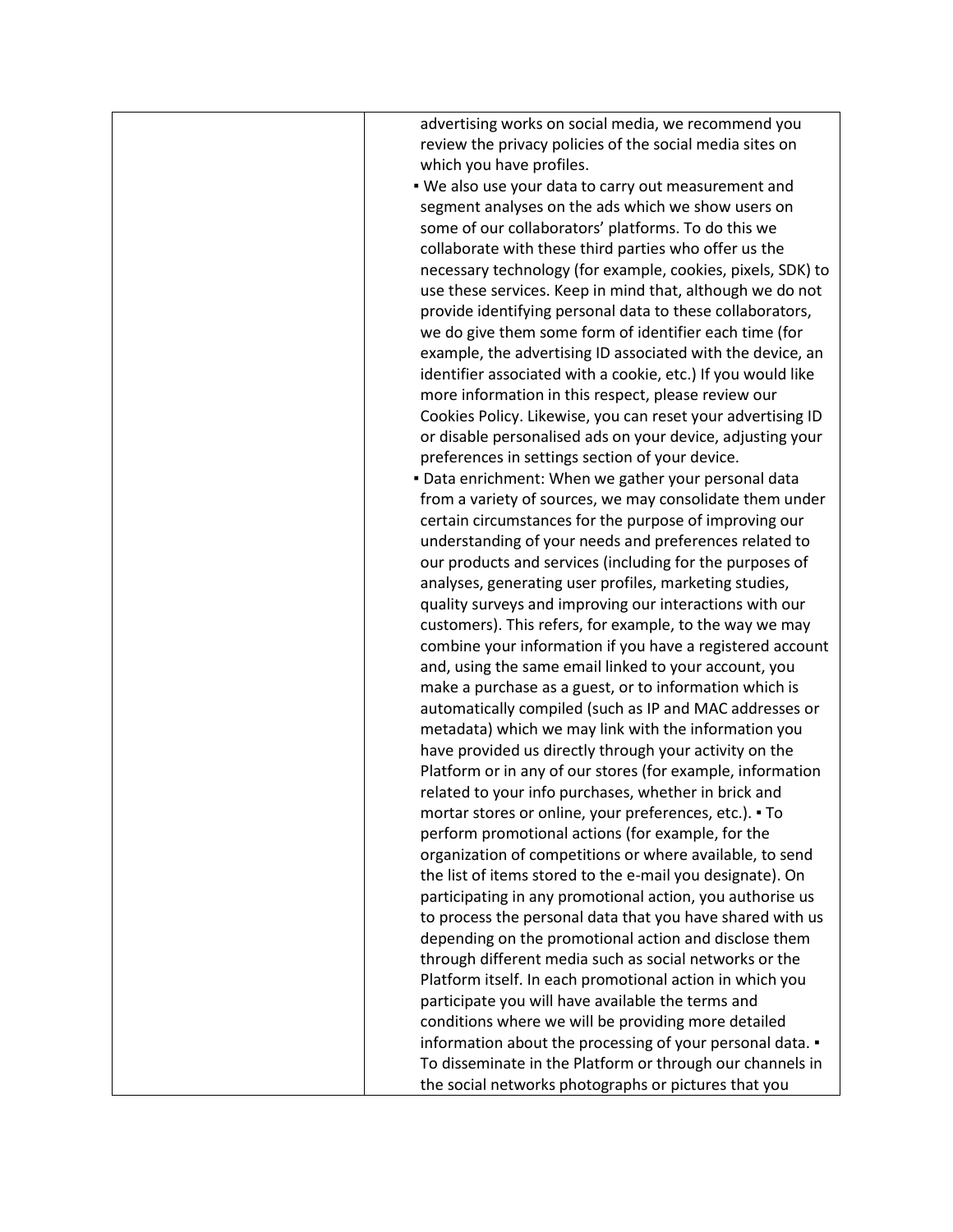| advertising works on social media, we recommend you          |
|--------------------------------------------------------------|
| review the privacy policies of the social media sites on     |
| which you have profiles.                                     |
| . We also use your data to carry out measurement and         |
| segment analyses on the ads which we show users on           |
| some of our collaborators' platforms. To do this we          |
| collaborate with these third parties who offer us the        |
| necessary technology (for example, cookies, pixels, SDK) to  |
|                                                              |
| use these services. Keep in mind that, although we do not    |
| provide identifying personal data to these collaborators,    |
| we do give them some form of identifier each time (for       |
| example, the advertising ID associated with the device, an   |
| identifier associated with a cookie, etc.) If you would like |
| more information in this respect, please review our          |
| Cookies Policy. Likewise, you can reset your advertising ID  |
| or disable personalised ads on your device, adjusting your   |
| preferences in settings section of your device.              |
| . Data enrichment: When we gather your personal data         |
| from a variety of sources, we may consolidate them under     |
| certain circumstances for the purpose of improving our       |
| understanding of your needs and preferences related to       |
| our products and services (including for the purposes of     |
| analyses, generating user profiles, marketing studies,       |
| quality surveys and improving our interactions with our      |
| customers). This refers, for example, to the way we may      |
| combine your information if you have a registered account    |
| and, using the same email linked to your account, you        |
| make a purchase as a guest, or to information which is       |
| automatically compiled (such as IP and MAC addresses or      |
| metadata) which we may link with the information you         |
| have provided us directly through your activity on the       |
| Platform or in any of our stores (for example, information   |
| related to your info purchases, whether in brick and         |
| mortar stores or online, your preferences, etc.). • To       |
| perform promotional actions (for example, for the            |
| organization of competitions or where available, to send     |
| the list of items stored to the e-mail you designate). On    |
|                                                              |
| participating in any promotional action, you authorise us    |
| to process the personal data that you have shared with us    |
| depending on the promotional action and disclose them        |
| through different media such as social networks or the       |
| Platform itself. In each promotional action in which you     |
| participate you will have available the terms and            |
| conditions where we will be providing more detailed          |
| information about the processing of your personal data. .    |
| To disseminate in the Platform or through our channels in    |
| the social networks photographs or pictures that you         |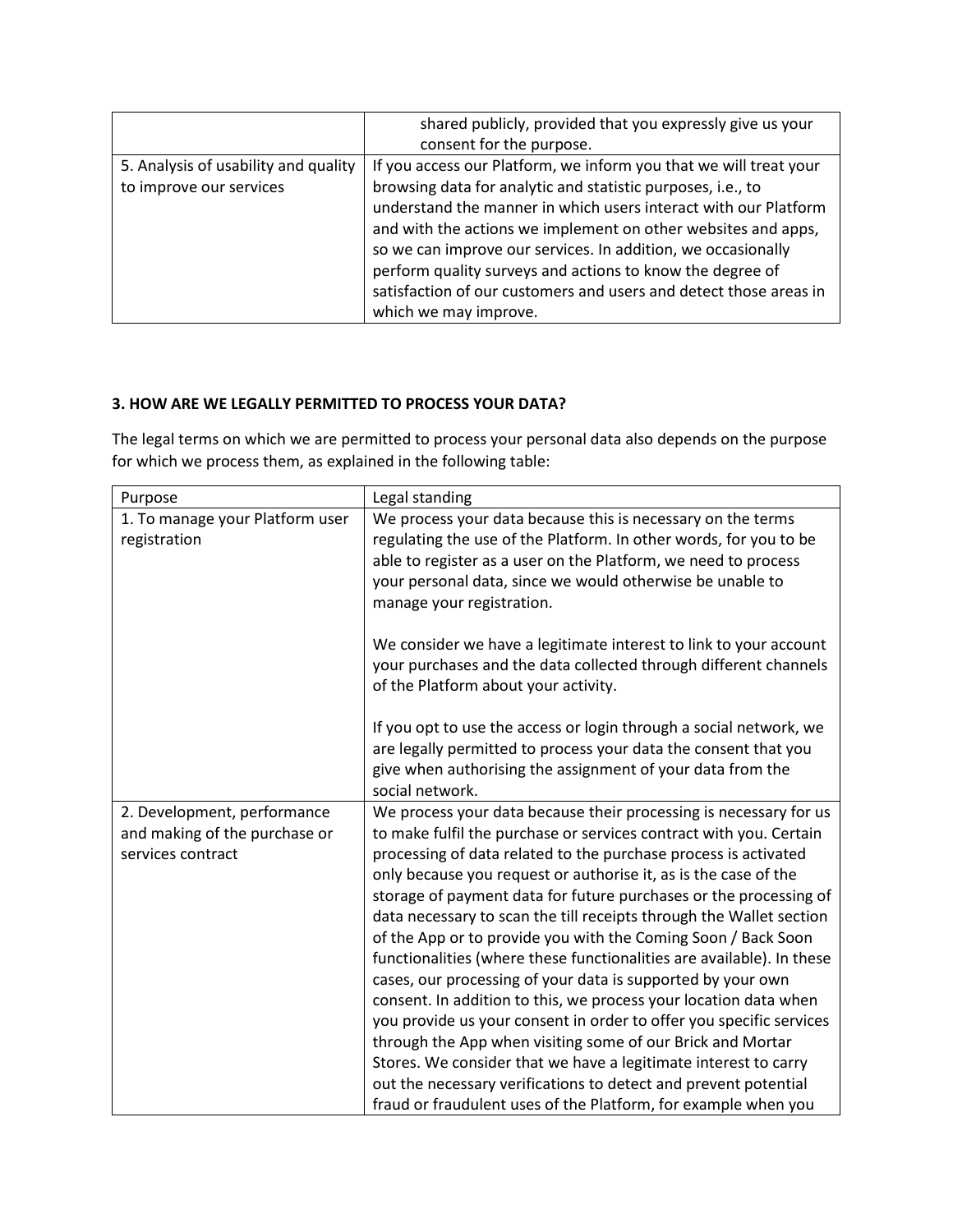|                                      | shared publicly, provided that you expressly give us your         |
|--------------------------------------|-------------------------------------------------------------------|
|                                      | consent for the purpose.                                          |
| 5. Analysis of usability and quality | If you access our Platform, we inform you that we will treat your |
| to improve our services              | browsing data for analytic and statistic purposes, i.e., to       |
|                                      | understand the manner in which users interact with our Platform   |
|                                      | and with the actions we implement on other websites and apps,     |
|                                      | so we can improve our services. In addition, we occasionally      |
|                                      | perform quality surveys and actions to know the degree of         |
|                                      | satisfaction of our customers and users and detect those areas in |
|                                      | which we may improve.                                             |

## **3. HOW ARE WE LEGALLY PERMITTED TO PROCESS YOUR DATA?**

The legal terms on which we are permitted to process your personal data also depends on the purpose for which we process them, as explained in the following table:

| Purpose                         | Legal standing                                                                                                                        |
|---------------------------------|---------------------------------------------------------------------------------------------------------------------------------------|
| 1. To manage your Platform user | We process your data because this is necessary on the terms                                                                           |
| registration                    | regulating the use of the Platform. In other words, for you to be                                                                     |
|                                 | able to register as a user on the Platform, we need to process                                                                        |
|                                 | your personal data, since we would otherwise be unable to                                                                             |
|                                 | manage your registration.                                                                                                             |
|                                 |                                                                                                                                       |
|                                 | We consider we have a legitimate interest to link to your account<br>your purchases and the data collected through different channels |
|                                 | of the Platform about your activity.                                                                                                  |
|                                 |                                                                                                                                       |
|                                 | If you opt to use the access or login through a social network, we                                                                    |
|                                 | are legally permitted to process your data the consent that you                                                                       |
|                                 | give when authorising the assignment of your data from the                                                                            |
|                                 | social network.                                                                                                                       |
| 2. Development, performance     | We process your data because their processing is necessary for us                                                                     |
| and making of the purchase or   | to make fulfil the purchase or services contract with you. Certain                                                                    |
| services contract               | processing of data related to the purchase process is activated                                                                       |
|                                 | only because you request or authorise it, as is the case of the                                                                       |
|                                 | storage of payment data for future purchases or the processing of                                                                     |
|                                 | data necessary to scan the till receipts through the Wallet section                                                                   |
|                                 | of the App or to provide you with the Coming Soon / Back Soon                                                                         |
|                                 | functionalities (where these functionalities are available). In these<br>cases, our processing of your data is supported by your own  |
|                                 | consent. In addition to this, we process your location data when                                                                      |
|                                 | you provide us your consent in order to offer you specific services                                                                   |
|                                 | through the App when visiting some of our Brick and Mortar                                                                            |
|                                 | Stores. We consider that we have a legitimate interest to carry                                                                       |
|                                 | out the necessary verifications to detect and prevent potential                                                                       |
|                                 | fraud or fraudulent uses of the Platform, for example when you                                                                        |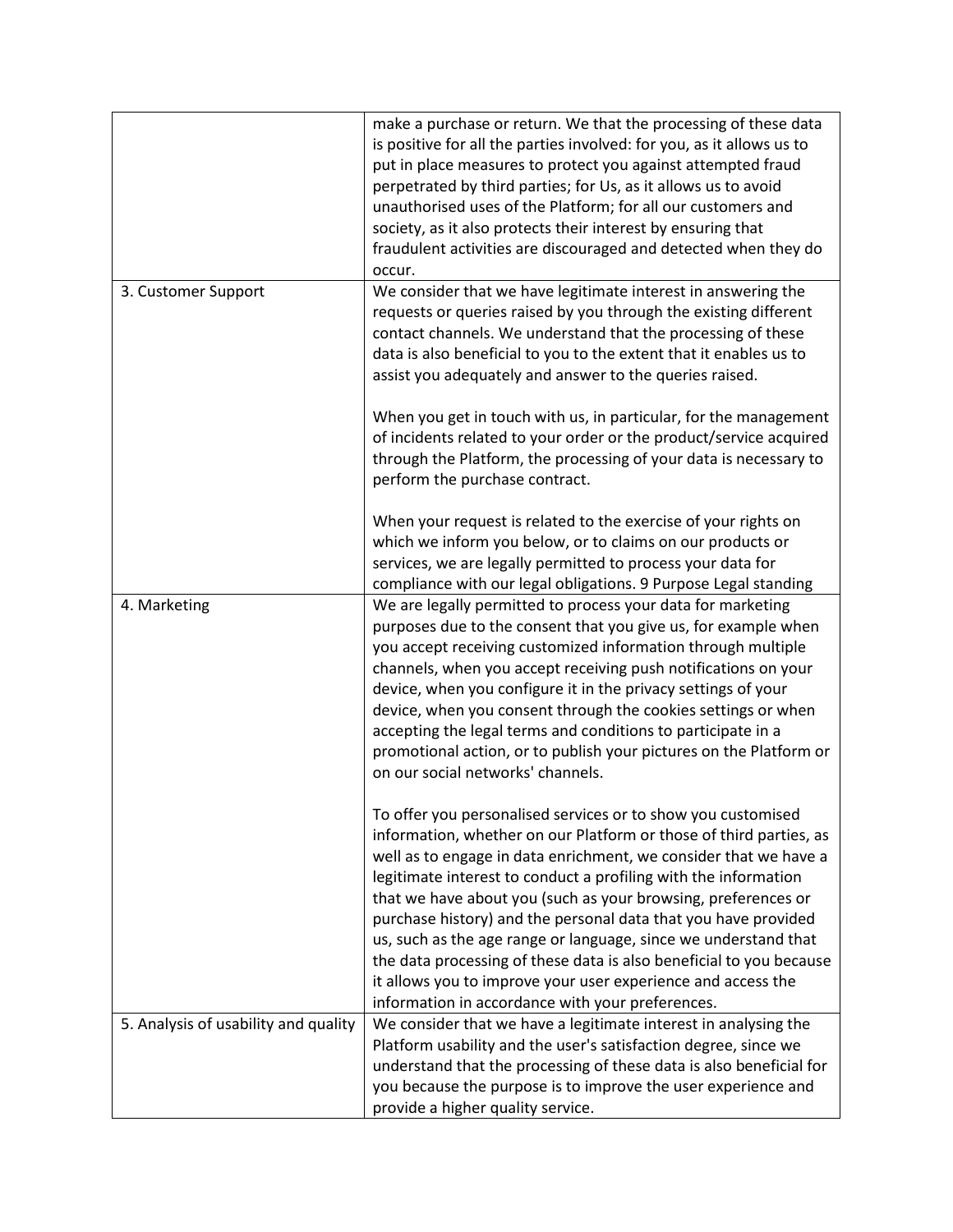|                                      | make a purchase or return. We that the processing of these data<br>is positive for all the parties involved: for you, as it allows us to<br>put in place measures to protect you against attempted fraud<br>perpetrated by third parties; for Us, as it allows us to avoid<br>unauthorised uses of the Platform; for all our customers and<br>society, as it also protects their interest by ensuring that<br>fraudulent activities are discouraged and detected when they do<br>occur.                                                                                                                                                                                    |
|--------------------------------------|----------------------------------------------------------------------------------------------------------------------------------------------------------------------------------------------------------------------------------------------------------------------------------------------------------------------------------------------------------------------------------------------------------------------------------------------------------------------------------------------------------------------------------------------------------------------------------------------------------------------------------------------------------------------------|
| 3. Customer Support                  | We consider that we have legitimate interest in answering the<br>requests or queries raised by you through the existing different<br>contact channels. We understand that the processing of these<br>data is also beneficial to you to the extent that it enables us to<br>assist you adequately and answer to the queries raised.                                                                                                                                                                                                                                                                                                                                         |
|                                      | When you get in touch with us, in particular, for the management<br>of incidents related to your order or the product/service acquired<br>through the Platform, the processing of your data is necessary to<br>perform the purchase contract.                                                                                                                                                                                                                                                                                                                                                                                                                              |
|                                      | When your request is related to the exercise of your rights on<br>which we inform you below, or to claims on our products or<br>services, we are legally permitted to process your data for<br>compliance with our legal obligations. 9 Purpose Legal standing                                                                                                                                                                                                                                                                                                                                                                                                             |
| 4. Marketing                         | We are legally permitted to process your data for marketing<br>purposes due to the consent that you give us, for example when<br>you accept receiving customized information through multiple<br>channels, when you accept receiving push notifications on your<br>device, when you configure it in the privacy settings of your<br>device, when you consent through the cookies settings or when<br>accepting the legal terms and conditions to participate in a<br>promotional action, or to publish your pictures on the Platform or<br>on our social networks' channels.                                                                                               |
|                                      | To offer you personalised services or to show you customised<br>information, whether on our Platform or those of third parties, as<br>well as to engage in data enrichment, we consider that we have a<br>legitimate interest to conduct a profiling with the information<br>that we have about you (such as your browsing, preferences or<br>purchase history) and the personal data that you have provided<br>us, such as the age range or language, since we understand that<br>the data processing of these data is also beneficial to you because<br>it allows you to improve your user experience and access the<br>information in accordance with your preferences. |
| 5. Analysis of usability and quality | We consider that we have a legitimate interest in analysing the<br>Platform usability and the user's satisfaction degree, since we<br>understand that the processing of these data is also beneficial for<br>you because the purpose is to improve the user experience and<br>provide a higher quality service.                                                                                                                                                                                                                                                                                                                                                            |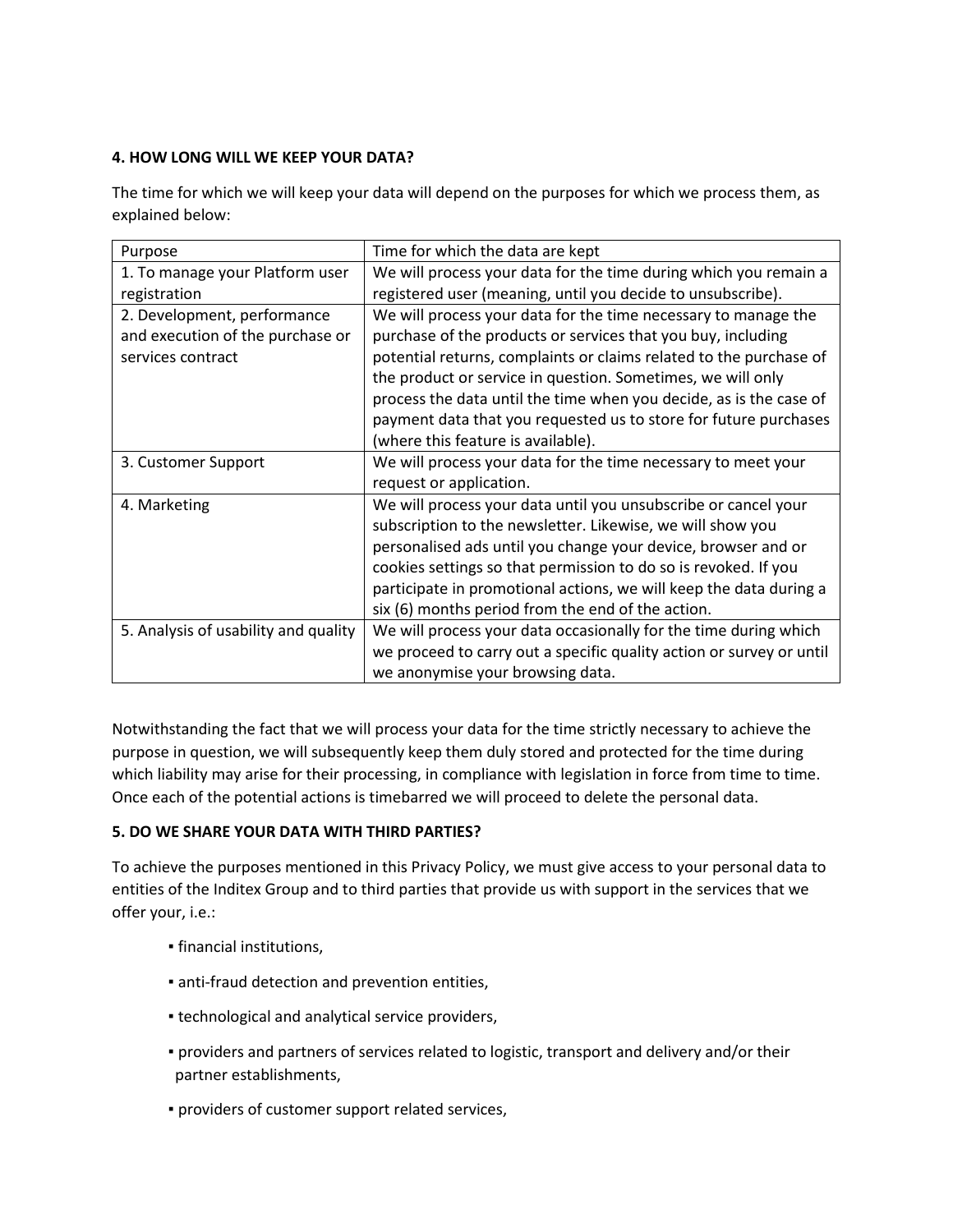# **4. HOW LONG WILL WE KEEP YOUR DATA?**

The time for which we will keep your data will depend on the purposes for which we process them, as explained below:

| Purpose                              | Time for which the data are kept                                     |
|--------------------------------------|----------------------------------------------------------------------|
| 1. To manage your Platform user      | We will process your data for the time during which you remain a     |
| registration                         | registered user (meaning, until you decide to unsubscribe).          |
| 2. Development, performance          | We will process your data for the time necessary to manage the       |
| and execution of the purchase or     | purchase of the products or services that you buy, including         |
| services contract                    | potential returns, complaints or claims related to the purchase of   |
|                                      | the product or service in question. Sometimes, we will only          |
|                                      | process the data until the time when you decide, as is the case of   |
|                                      | payment data that you requested us to store for future purchases     |
|                                      | (where this feature is available).                                   |
| 3. Customer Support                  | We will process your data for the time necessary to meet your        |
|                                      | request or application.                                              |
| 4. Marketing                         | We will process your data until you unsubscribe or cancel your       |
|                                      | subscription to the newsletter. Likewise, we will show you           |
|                                      | personalised ads until you change your device, browser and or        |
|                                      | cookies settings so that permission to do so is revoked. If you      |
|                                      | participate in promotional actions, we will keep the data during a   |
|                                      | six (6) months period from the end of the action.                    |
| 5. Analysis of usability and quality | We will process your data occasionally for the time during which     |
|                                      | we proceed to carry out a specific quality action or survey or until |
|                                      | we anonymise your browsing data.                                     |

Notwithstanding the fact that we will process your data for the time strictly necessary to achieve the purpose in question, we will subsequently keep them duly stored and protected for the time during which liability may arise for their processing, in compliance with legislation in force from time to time. Once each of the potential actions is timebarred we will proceed to delete the personal data.

# **5. DO WE SHARE YOUR DATA WITH THIRD PARTIES?**

To achieve the purposes mentioned in this Privacy Policy, we must give access to your personal data to entities of the Inditex Group and to third parties that provide us with support in the services that we offer your, i.e.:

- financial institutions,
- anti-fraud detection and prevention entities,
- **technological and analytical service providers,**
- providers and partners of services related to logistic, transport and delivery and/or their partner establishments,
- providers of customer support related services,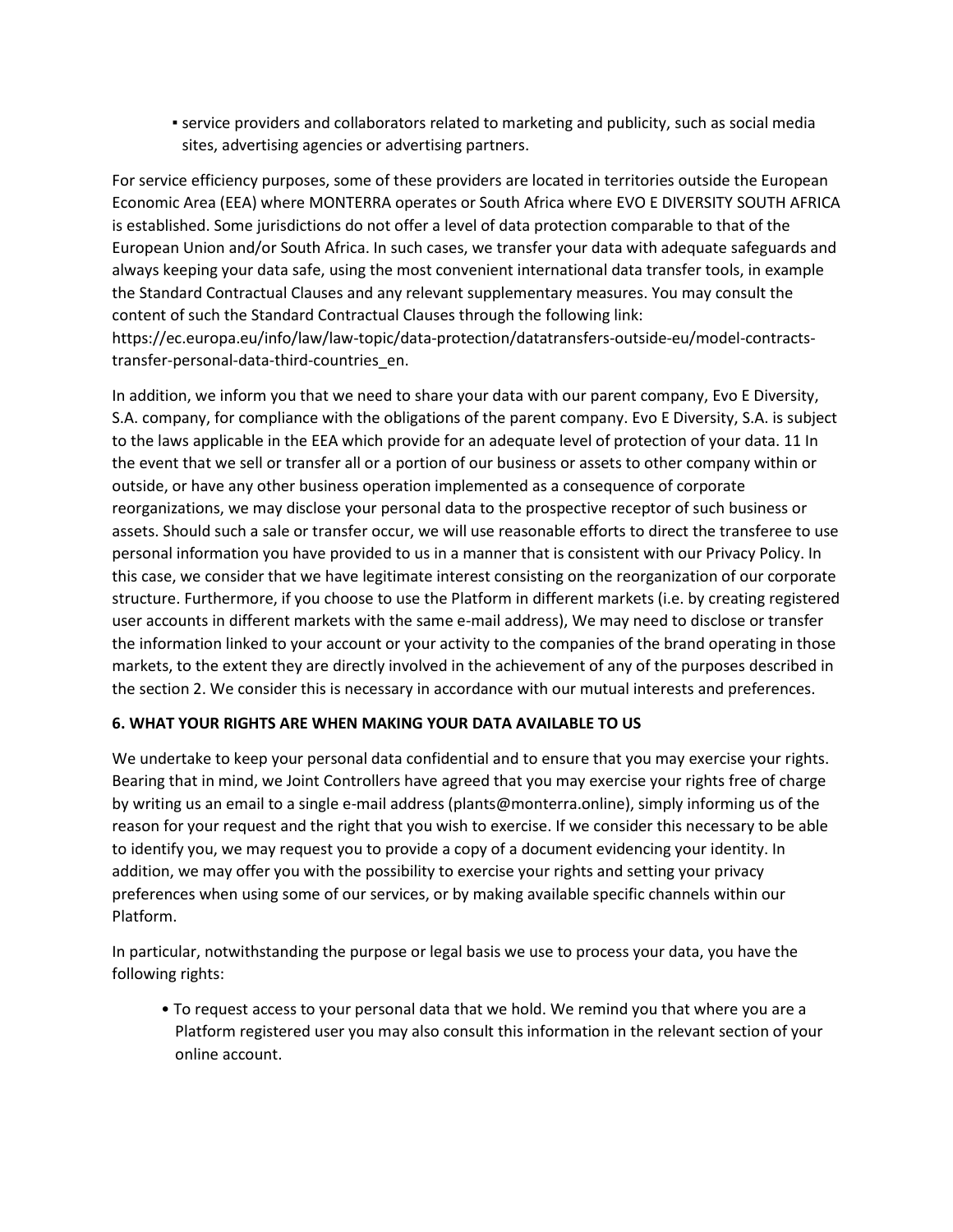▪ service providers and collaborators related to marketing and publicity, such as social media sites, advertising agencies or advertising partners.

For service efficiency purposes, some of these providers are located in territories outside the European Economic Area (EEA) where MONTERRA operates or South Africa where EVO E DIVERSITY SOUTH AFRICA is established. Some jurisdictions do not offer a level of data protection comparable to that of the European Union and/or South Africa. In such cases, we transfer your data with adequate safeguards and always keeping your data safe, using the most convenient international data transfer tools, in example the Standard Contractual Clauses and any relevant supplementary measures. You may consult the content of such the Standard Contractual Clauses through the following link: https://ec.europa.eu/info/law/law-topic/data-protection/datatransfers-outside-eu/model-contractstransfer-personal-data-third-countries\_en.

In addition, we inform you that we need to share your data with our parent company, Evo E Diversity, S.A. company, for compliance with the obligations of the parent company. Evo E Diversity, S.A. is subject to the laws applicable in the EEA which provide for an adequate level of protection of your data. 11 In the event that we sell or transfer all or a portion of our business or assets to other company within or outside, or have any other business operation implemented as a consequence of corporate reorganizations, we may disclose your personal data to the prospective receptor of such business or assets. Should such a sale or transfer occur, we will use reasonable efforts to direct the transferee to use personal information you have provided to us in a manner that is consistent with our Privacy Policy. In this case, we consider that we have legitimate interest consisting on the reorganization of our corporate structure. Furthermore, if you choose to use the Platform in different markets (i.e. by creating registered user accounts in different markets with the same e-mail address), We may need to disclose or transfer the information linked to your account or your activity to the companies of the brand operating in those markets, to the extent they are directly involved in the achievement of any of the purposes described in the section 2. We consider this is necessary in accordance with our mutual interests and preferences.

### **6. WHAT YOUR RIGHTS ARE WHEN MAKING YOUR DATA AVAILABLE TO US**

We undertake to keep your personal data confidential and to ensure that you may exercise your rights. Bearing that in mind, we Joint Controllers have agreed that you may exercise your rights free of charge by writing us an email to a single e-mail address (plants@monterra.online), simply informing us of the reason for your request and the right that you wish to exercise. If we consider this necessary to be able to identify you, we may request you to provide a copy of a document evidencing your identity. In addition, we may offer you with the possibility to exercise your rights and setting your privacy preferences when using some of our services, or by making available specific channels within our Platform.

In particular, notwithstanding the purpose or legal basis we use to process your data, you have the following rights:

• To request access to your personal data that we hold. We remind you that where you are a Platform registered user you may also consult this information in the relevant section of your online account.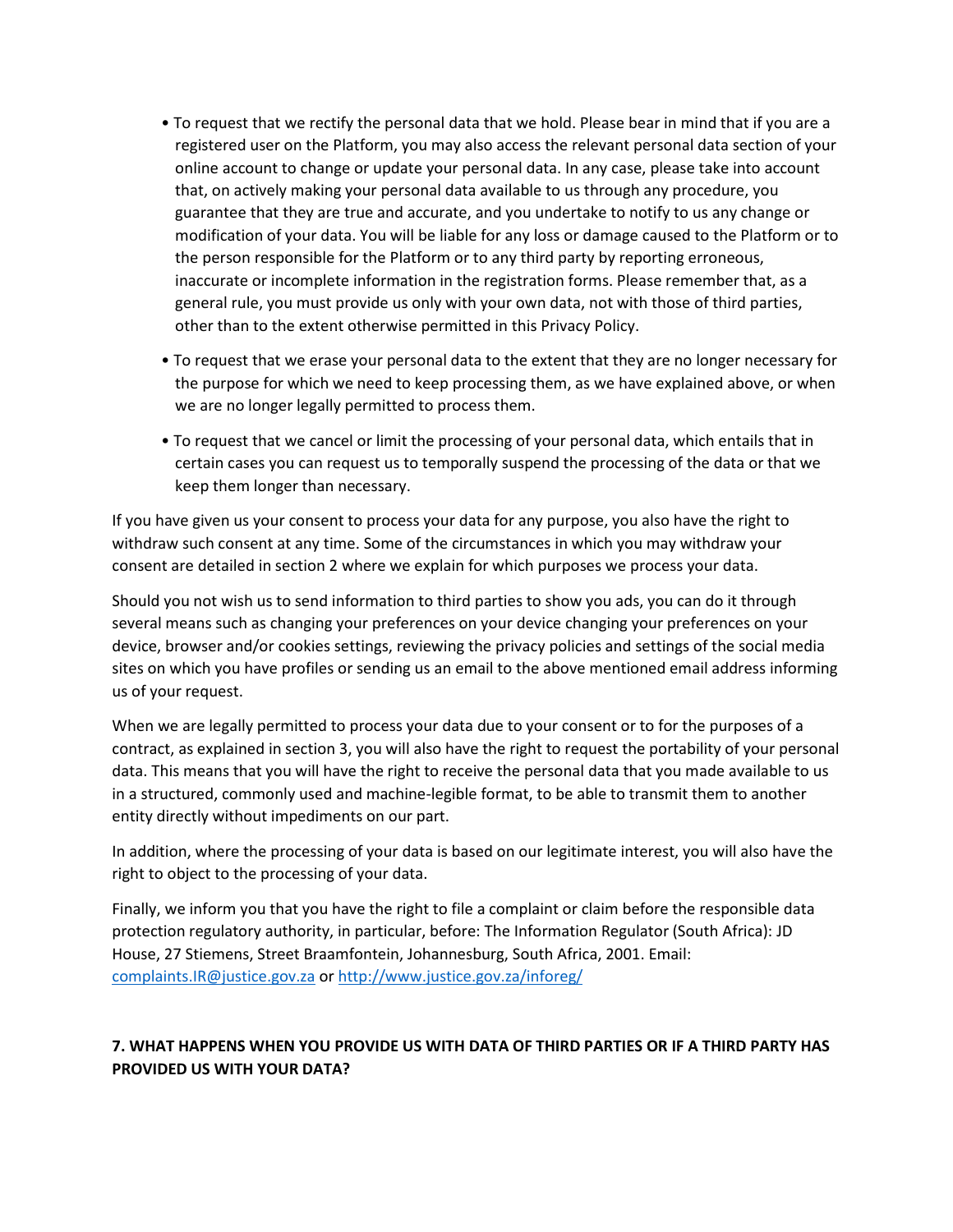- To request that we rectify the personal data that we hold. Please bear in mind that if you are a registered user on the Platform, you may also access the relevant personal data section of your online account to change or update your personal data. In any case, please take into account that, on actively making your personal data available to us through any procedure, you guarantee that they are true and accurate, and you undertake to notify to us any change or modification of your data. You will be liable for any loss or damage caused to the Platform or to the person responsible for the Platform or to any third party by reporting erroneous, inaccurate or incomplete information in the registration forms. Please remember that, as a general rule, you must provide us only with your own data, not with those of third parties, other than to the extent otherwise permitted in this Privacy Policy.
- To request that we erase your personal data to the extent that they are no longer necessary for the purpose for which we need to keep processing them, as we have explained above, or when we are no longer legally permitted to process them.
- To request that we cancel or limit the processing of your personal data, which entails that in certain cases you can request us to temporally suspend the processing of the data or that we keep them longer than necessary.

If you have given us your consent to process your data for any purpose, you also have the right to withdraw such consent at any time. Some of the circumstances in which you may withdraw your consent are detailed in section 2 where we explain for which purposes we process your data.

Should you not wish us to send information to third parties to show you ads, you can do it through several means such as changing your preferences on your device changing your preferences on your device, browser and/or cookies settings, reviewing the privacy policies and settings of the social media sites on which you have profiles or sending us an email to the above mentioned email address informing us of your request.

When we are legally permitted to process your data due to your consent or to for the purposes of a contract, as explained in section 3, you will also have the right to request the portability of your personal data. This means that you will have the right to receive the personal data that you made available to us in a structured, commonly used and machine-legible format, to be able to transmit them to another entity directly without impediments on our part.

In addition, where the processing of your data is based on our legitimate interest, you will also have the right to object to the processing of your data.

Finally, we inform you that you have the right to file a complaint or claim before the responsible data protection regulatory authority, in particular, before: The Information Regulator (South Africa): JD House, 27 Stiemens, Street Braamfontein, Johannesburg, South Africa, 2001. Email: [complaints.IR@justice.gov.za](mailto:complaints.IR@justice.gov.za) or<http://www.justice.gov.za/inforeg/>

# **7. WHAT HAPPENS WHEN YOU PROVIDE US WITH DATA OF THIRD PARTIES OR IF A THIRD PARTY HAS PROVIDED US WITH YOUR DATA?**